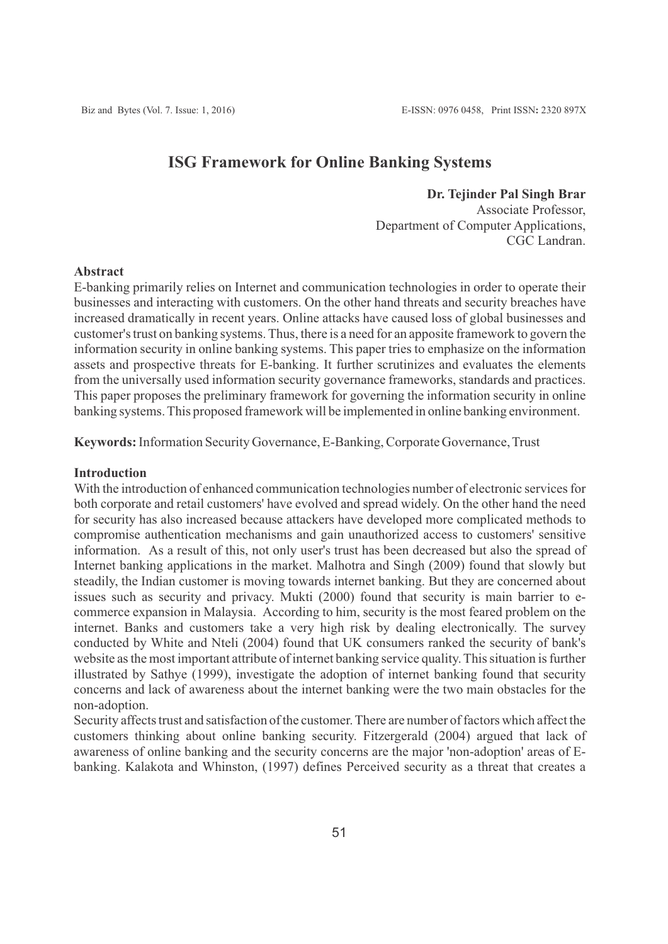# **ISG Framework for Online Banking Systems**

#### **Dr. Tejinder Pal Singh Brar**

Associate Professor, Department of Computer Applications, CGC Landran.

# **Abstract**

E-banking primarily relies on Internet and communication technologies in order to operate their businesses and interacting with customers. On the other hand threats and security breaches have increased dramatically in recent years. Online attacks have caused loss of global businesses and customer's trust on banking systems. Thus, there is a need for an apposite framework to govern the information security in online banking systems. This paper tries to emphasize on the information assets and prospective threats for E-banking. It further scrutinizes and evaluates the elements from the universally used information security governance frameworks, standards and practices. This paper proposes the preliminary framework for governing the information security in online banking systems. This proposed framework will be implemented in online banking environment.

### **Keywords:** Information Security Governance, E-Banking, Corporate Governance, Trust

#### **Introduction**

With the introduction of enhanced communication technologies number of electronic services for both corporate and retail customers' have evolved and spread widely. On the other hand the need for security has also increased because attackers have developed more complicated methods to compromise authentication mechanisms and gain unauthorized access to customers' sensitive information. As a result of this, not only user's trust has been decreased but also the spread of Internet banking applications in the market. Malhotra and Singh (2009) found that slowly but steadily, the Indian customer is moving towards internet banking. But they are concerned about issues such as security and privacy. Mukti (2000) found that security is main barrier to ecommerce expansion in Malaysia. According to him, security is the most feared problem on the internet. Banks and customers take a very high risk by dealing electronically. The survey conducted by White and Nteli (2004) found that UK consumers ranked the security of bank's website as the most important attribute of internet banking service quality. This situation is further illustrated by Sathye (1999), investigate the adoption of internet banking found that security concerns and lack of awareness about the internet banking were the two main obstacles for the non-adoption.

Security affects trust and satisfaction of the customer. There are number of factors which affect the customers thinking about online banking security. Fitzergerald (2004) argued that lack of awareness of online banking and the security concerns are the major 'non-adoption' areas of Ebanking. Kalakota and Whinston, (1997) defines Perceived security as a threat that creates a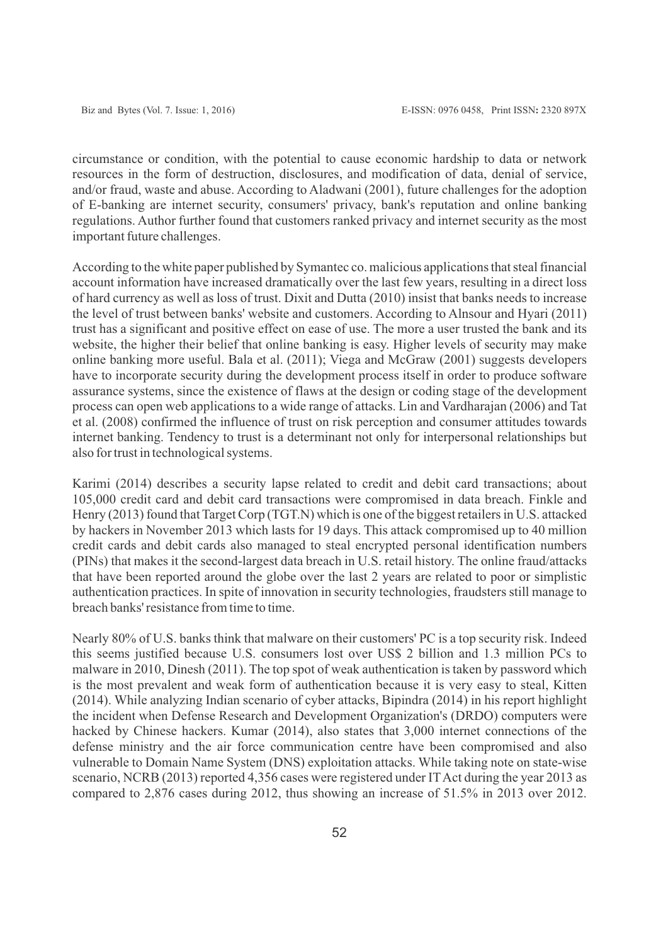circumstance or condition, with the potential to cause economic hardship to data or network resources in the form of destruction, disclosures, and modification of data, denial of service, and/or fraud, waste and abuse. According to Aladwani (2001), future challenges for the adoption of E-banking are internet security, consumers' privacy, bank's reputation and online banking regulations. Author further found that customers ranked privacy and internet security as the most important future challenges.

According to the white paper published by Symantec co. malicious applications that steal financial account information have increased dramatically over the last few years, resulting in a direct loss of hard currency as well as loss of trust. Dixit and Dutta (2010) insist that banks needs to increase the level of trust between banks' website and customers. According to Alnsour and Hyari (2011) trust has a significant and positive effect on ease of use. The more a user trusted the bank and its website, the higher their belief that online banking is easy. Higher levels of security may make online banking more useful. Bala et al. (2011); Viega and McGraw (2001) suggests developers have to incorporate security during the development process itself in order to produce software assurance systems, since the existence of flaws at the design or coding stage of the development process can open web applications to a wide range of attacks. Lin and Vardharajan (2006) and Tat et al. (2008) confirmed the influence of trust on risk perception and consumer attitudes towards internet banking. Tendency to trust is a determinant not only for interpersonal relationships but also for trust in technological systems.

Karimi (2014) describes a security lapse related to credit and debit card transactions; about 105,000 credit card and debit card transactions were compromised in data breach. Finkle and Henry (2013) found that Target Corp (TGT.N) which is one of the biggest retailers in U.S. attacked by hackers in November 2013 which lasts for 19 days. This attack compromised up to 40 million credit cards and debit cards also managed to steal encrypted personal identification numbers (PINs) that makes it the second-largest data breach in U.S. retail history. The online fraud/attacks that have been reported around the globe over the last 2 years are related to poor or simplistic authentication practices. In spite of innovation in security technologies, fraudsters still manage to breach banks' resistance from time to time.

Nearly 80% of U.S. banks think that malware on their customers' PC is a top security risk. Indeed this seems justified because U.S. consumers lost over US\$ 2 billion and 1.3 million PCs to malware in 2010, Dinesh (2011). The top spot of weak authentication is taken by password which is the most prevalent and weak form of authentication because it is very easy to steal, Kitten (2014). While analyzing Indian scenario of cyber attacks, Bipindra (2014) in his report highlight the incident when Defense Research and Development Organization's (DRDO) computers were hacked by Chinese hackers. Kumar (2014), also states that 3,000 internet connections of the defense ministry and the air force communication centre have been compromised and also vulnerable to Domain Name System (DNS) exploitation attacks. While taking note on state-wise scenario, NCRB (2013) reported 4,356 cases were registered under IT Act during the year 2013 as compared to 2,876 cases during 2012, thus showing an increase of 51.5% in 2013 over 2012.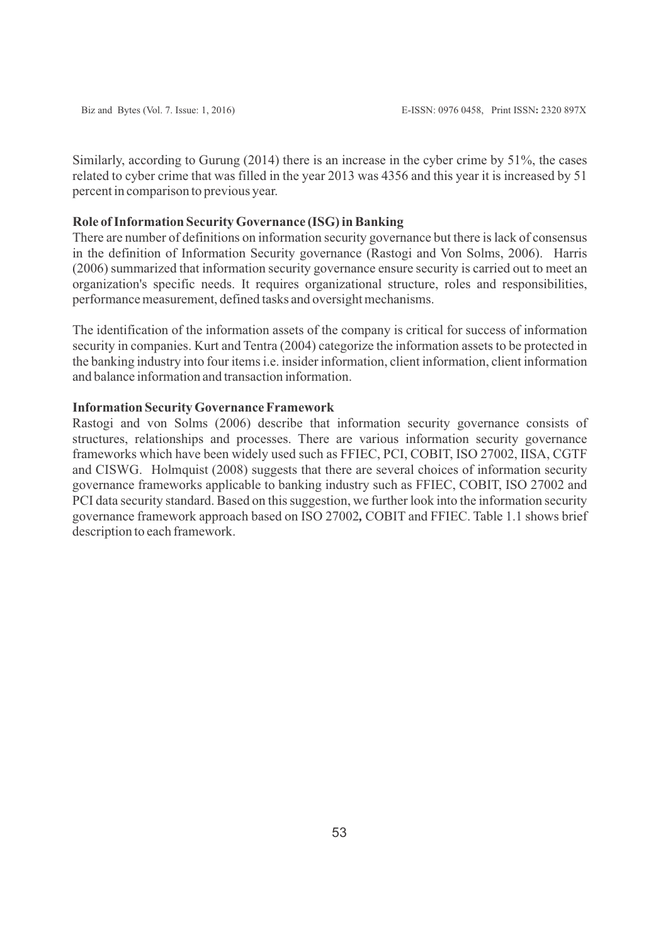Similarly, according to Gurung (2014) there is an increase in the cyber crime by 51%, the cases related to cyber crime that was filled in the year 2013 was 4356 and this year it is increased by 51 percent in comparison to previous year.

## **Role of Information Security Governance (ISG) in Banking**

There are number of definitions on information security governance but there is lack of consensus in the definition of Information Security governance (Rastogi and Von Solms, 2006). Harris (2006) summarized that information security governance ensure security is carried out to meet an organization's specific needs. It requires organizational structure, roles and responsibilities, performance measurement, defined tasks and oversight mechanisms.

The identification of the information assets of the company is critical for success of information security in companies. Kurt and Tentra (2004) categorize the information assets to be protected in the banking industry into four items i.e. insider information, client information, client information and balance information and transaction information.

# **Information Security Governance Framework**

Rastogi and von Solms (2006) describe that information security governance consists of structures, relationships and processes. There are various information security governance frameworks which have been widely used such as FFIEC, PCI, COBIT, ISO 27002, IISA, CGTF and CISWG. Holmquist (2008) suggests that there are several choices of information security governance frameworks applicable to banking industry such as FFIEC, COBIT, ISO 27002 and PCI data security standard. Based on this suggestion, we further look into the information security governance framework approach based on ISO 27002*,* COBIT and FFIEC. Table 1.1 shows brief description to each framework.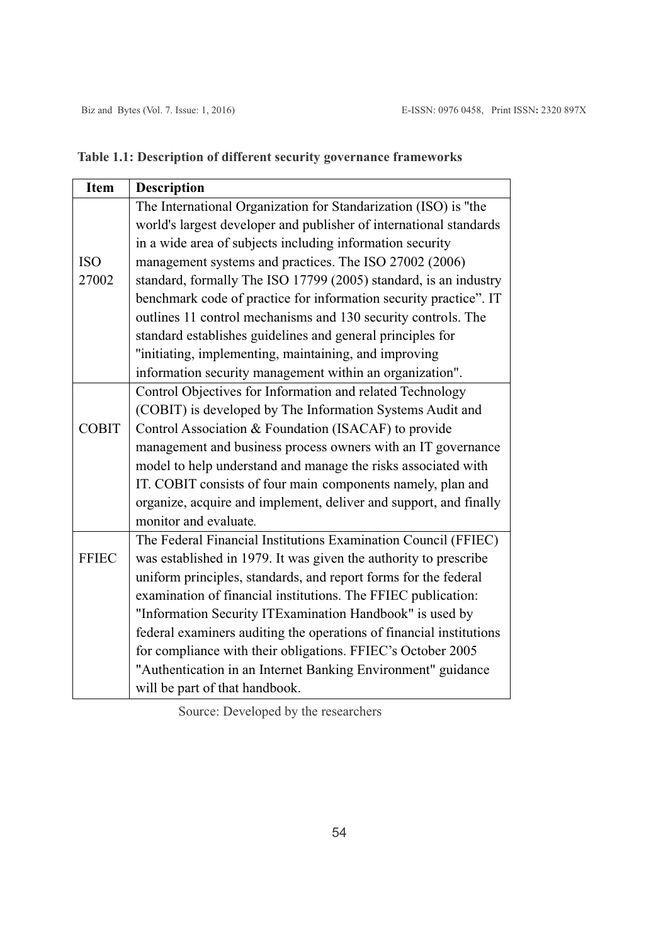|  |  | Table 1.1: Description of different security governance frameworks |
|--|--|--------------------------------------------------------------------|
|--|--|--------------------------------------------------------------------|

| <b>Item</b>  | <b>Description</b>                                                  |  |  |  |
|--------------|---------------------------------------------------------------------|--|--|--|
|              | The International Organization for Standarization (ISO) is "the     |  |  |  |
|              | world's largest developer and publisher of international standards  |  |  |  |
|              | in a wide area of subjects including information security           |  |  |  |
| <b>ISO</b>   | management systems and practices. The ISO 27002 (2006)              |  |  |  |
| 27002        | standard, formally The ISO 17799 (2005) standard, is an industry    |  |  |  |
|              | benchmark code of practice for information security practice". IT   |  |  |  |
|              | outlines 11 control mechanisms and 130 security controls. The       |  |  |  |
|              | standard establishes guidelines and general principles for          |  |  |  |
|              | "initiating, implementing, maintaining, and improving               |  |  |  |
|              | information security management within an organization".            |  |  |  |
|              | Control Objectives for Information and related Technology           |  |  |  |
|              | (COBIT) is developed by The Information Systems Audit and           |  |  |  |
| <b>COBIT</b> | Control Association & Foundation (ISACAF) to provide                |  |  |  |
|              | management and business process owners with an IT governance        |  |  |  |
|              | model to help understand and manage the risks associated with       |  |  |  |
|              | IT. COBIT consists of four main components namely, plan and         |  |  |  |
|              | organize, acquire and implement, deliver and support, and finally   |  |  |  |
|              | monitor and evaluate.                                               |  |  |  |
| <b>FFIEC</b> | The Federal Financial Institutions Examination Council (FFIEC)      |  |  |  |
|              | was established in 1979. It was given the authority to prescribe    |  |  |  |
|              | uniform principles, standards, and report forms for the federal     |  |  |  |
|              | examination of financial institutions. The FFIEC publication:       |  |  |  |
|              | "Information Security ITExamination Handbook" is used by            |  |  |  |
|              | federal examiners auditing the operations of financial institutions |  |  |  |
|              | for compliance with their obligations. FFIEC's October 2005         |  |  |  |
|              | "Authentication in an Internet Banking Environment" guidance        |  |  |  |
|              | will be part of that handbook.                                      |  |  |  |

Source: Developed by the researchers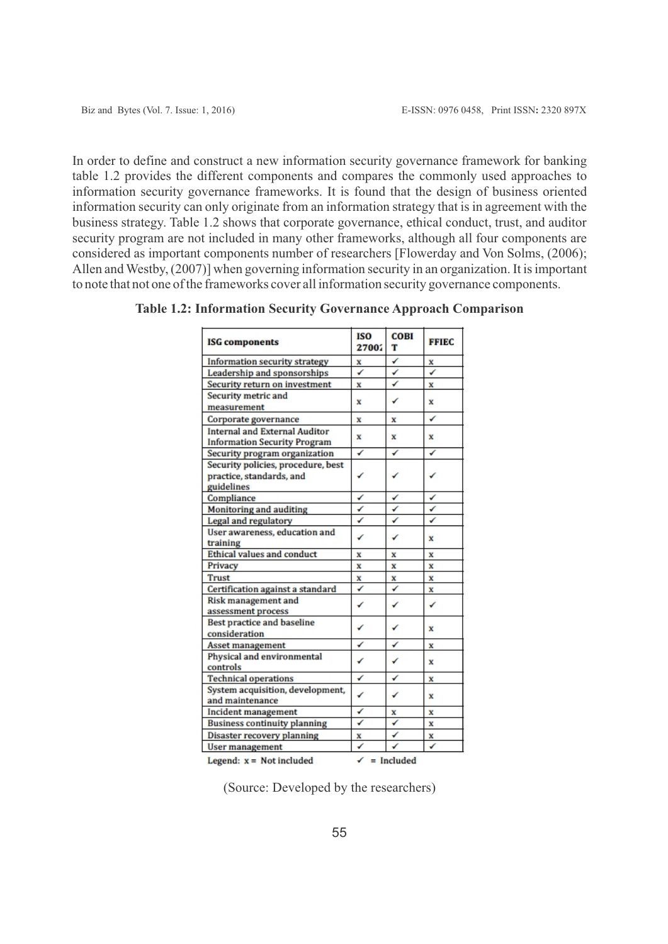In order to define and construct a new information security governance framework for banking table 1.2 provides the different components and compares the commonly used approaches to information security governance frameworks. It is found that the design of business oriented information security can only originate from an information strategy that is in agreement with the business strategy. Table 1.2 shows that corporate governance, ethical conduct, trust, and auditor security program are not included in many other frameworks, although all four components are considered as important components number of researchers [Flowerday and Von Solms, (2006); Allen and Westby, (2007)] when governing information security in an organization. It is important to note that not one of the frameworks cover all information security governance components.

| <b>ISG</b> components                 | ISO<br>27002                                    | <b>COBI</b><br>т | <b>FFIEC</b> |  |  |
|---------------------------------------|-------------------------------------------------|------------------|--------------|--|--|
| Information security strategy         | x                                               | ✔                | X            |  |  |
| Leadership and sponsorships           | ✓                                               | ✔                | ✓            |  |  |
| Security return on investment         | x                                               | ✔                | x            |  |  |
| Security metric and                   | x                                               | ✔                | x            |  |  |
| measurement                           |                                                 |                  |              |  |  |
| Corporate governance                  | x                                               | x                | ✓            |  |  |
| <b>Internal and External Auditor</b>  | x                                               | x                | x            |  |  |
| <b>Information Security Program</b>   |                                                 |                  |              |  |  |
| Security program organization         | ✓                                               | ✔                | ✔            |  |  |
| Security policies, procedure, best    |                                                 |                  |              |  |  |
| practice, standards, and              | ✓                                               | ✔                | ✓            |  |  |
| guidelines                            |                                                 |                  |              |  |  |
| Compliance                            | ✓                                               | ✔                | ✓            |  |  |
| Monitoring and auditing               | ✓                                               | ✓                | ✓            |  |  |
| Legal and regulatory                  | ✓                                               | ✓                | ✓            |  |  |
| User awareness, education and         | ✓                                               | ✔                | x            |  |  |
| training                              |                                                 |                  |              |  |  |
| Ethical values and conduct            | X                                               | x                | $\bf{x}$     |  |  |
| Privacy                               | $\mathbf{x}$                                    | x                | $\bf{x}$     |  |  |
| Trust                                 | X                                               | x                | X            |  |  |
| Certification against a standard      | ✓                                               | ✔                | x            |  |  |
| Risk management and<br>✓              |                                                 | ✔                | ✔            |  |  |
| assessment process                    |                                                 |                  |              |  |  |
| Best practice and baseline            | ✓                                               | ✔                | x            |  |  |
| consideration                         |                                                 |                  |              |  |  |
| Asset management                      | ✓                                               | ✔                | X            |  |  |
| Physical and environmental            | ✓                                               | ✔                | x            |  |  |
| controls                              |                                                 |                  |              |  |  |
| <b>Technical operations</b>           | ✓                                               | ✔                | X            |  |  |
| System acquisition, development,<br>✓ |                                                 | ✔                | x            |  |  |
| and maintenance                       |                                                 |                  |              |  |  |
| Incident management                   | ✓                                               | x                | x            |  |  |
| <b>Business continuity planning</b>   | ✓                                               | ✓                | x            |  |  |
| Disaster recovery planning            | x                                               | ✔                | x            |  |  |
| User management                       | ✓                                               |                  | ✓            |  |  |
|                                       | Legend: $x = Not included$<br>✓<br>$=$ Included |                  |              |  |  |

**Table 1.2: Information Security Governance Approach Comparison**

Legend:  $x = Not included$ 

(Source: Developed by the researchers)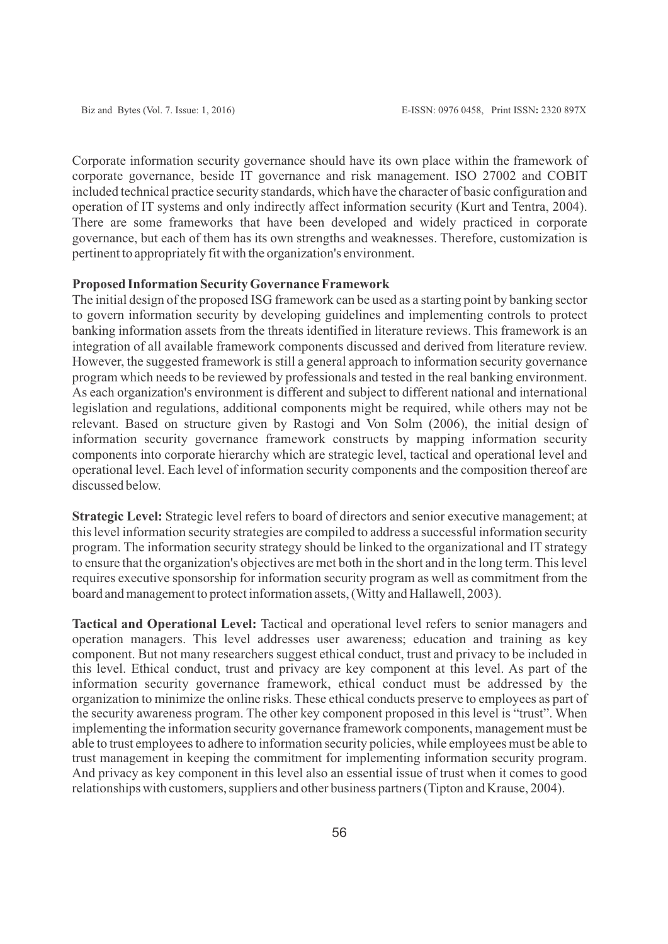Corporate information security governance should have its own place within the framework of corporate governance, beside IT governance and risk management. ISO 27002 and COBIT included technical practice security standards, which have the character of basic configuration and operation of IT systems and only indirectly affect information security (Kurt and Tentra, 2004). There are some frameworks that have been developed and widely practiced in corporate governance, but each of them has its own strengths and weaknesses. Therefore, customization is pertinent to appropriately fit with the organization's environment.

### **Proposed Information Security Governance Framework**

The initial design of the proposed ISG framework can be used as a starting point by banking sector to govern information security by developing guidelines and implementing controls to protect banking information assets from the threats identified in literature reviews. This framework is an integration of all available framework components discussed and derived from literature review. However, the suggested framework is still a general approach to information security governance program which needs to be reviewed by professionals and tested in the real banking environment. As each organization's environment is different and subject to different national and international legislation and regulations, additional components might be required, while others may not be relevant. Based on structure given by Rastogi and Von Solm (2006), the initial design of information security governance framework constructs by mapping information security components into corporate hierarchy which are strategic level, tactical and operational level and operational level. Each level of information security components and the composition thereof are discussed below.

**Strategic Level:** Strategic level refers to board of directors and senior executive management; at this level information security strategies are compiled to address a successful information security program. The information security strategy should be linked to the organizational and IT strategy to ensure that the organization's objectives are met both in the short and in the long term. This level requires executive sponsorship for information security program as well as commitment from the board and management to protect information assets, (Witty and Hallawell, 2003).

**Tactical and Operational Level:** Tactical and operational level refers to senior managers and operation managers. This level addresses user awareness; education and training as key component. But not many researchers suggest ethical conduct, trust and privacy to be included in this level. Ethical conduct, trust and privacy are key component at this level. As part of the information security governance framework, ethical conduct must be addressed by the organization to minimize the online risks. These ethical conducts preserve to employees as part of the security awareness program. The other key component proposed in this level is "trust". When implementing the information security governance framework components, management must be able to trust employees to adhere to information security policies, while employees must be able to trust management in keeping the commitment for implementing information security program. And privacy as key component in this level also an essential issue of trust when it comes to good relationships with customers, suppliers and other business partners (Tipton and Krause, 2004).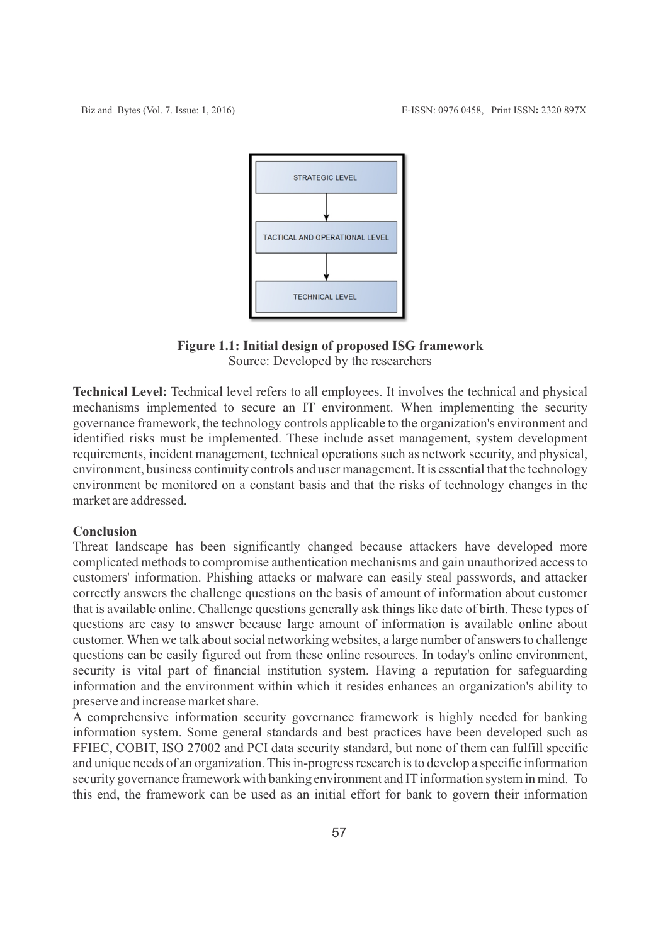

# **Figure 1.1: Initial design of proposed ISG framework**

Source: Developed by the researchers

**Technical Level:** Technical level refers to all employees. It involves the technical and physical mechanisms implemented to secure an IT environment. When implementing the security governance framework, the technology controls applicable to the organization's environment and identified risks must be implemented. These include asset management, system development requirements, incident management, technical operations such as network security, and physical, environment, business continuity controls and user management. It is essential that the technology environment be monitored on a constant basis and that the risks of technology changes in the market are addressed.

# **Conclusion**

Threat landscape has been significantly changed because attackers have developed more complicated methods to compromise authentication mechanisms and gain unauthorized access to customers' information. Phishing attacks or malware can easily steal passwords, and attacker correctly answers the challenge questions on the basis of amount of information about customer that is available online. Challenge questions generally ask things like date of birth. These types of questions are easy to answer because large amount of information is available online about customer. When we talk about social networking websites, a large number of answers to challenge questions can be easily figured out from these online resources. In today's online environment, security is vital part of financial institution system. Having a reputation for safeguarding information and the environment within which it resides enhances an organization's ability to preserve and increase market share.

A comprehensive information security governance framework is highly needed for banking information system. Some general standards and best practices have been developed such as FFIEC, COBIT, ISO 27002 and PCI data security standard, but none of them can fulfill specific and unique needs of an organization. This in-progress research is to develop a specific information security governance framework with banking environment and IT information system in mind. To this end, the framework can be used as an initial effort for bank to govern their information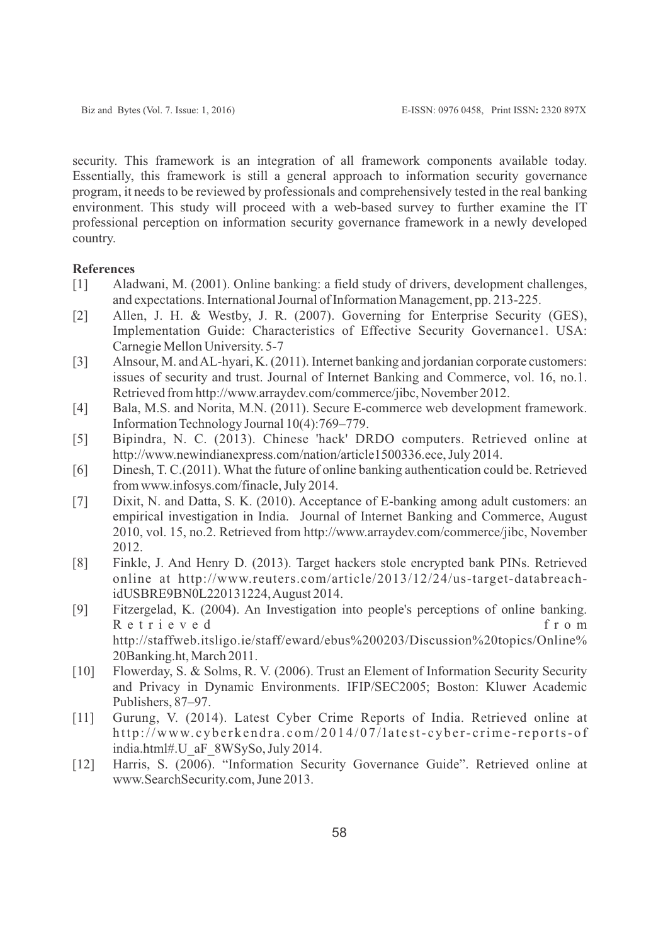security. This framework is an integration of all framework components available today. Essentially, this framework is still a general approach to information security governance program, it needs to be reviewed by professionals and comprehensively tested in the real banking environment. This study will proceed with a web-based survey to further examine the IT professional perception on information security governance framework in a newly developed country.

## **References**

- [1] Aladwani, M. (2001). Online banking: a field study of drivers, development challenges, and expectations. International Journal of Information Management, pp. 213-225.
- [2] Allen, J. H. & Westby, J. R. (2007). Governing for Enterprise Security (GES), Implementation Guide: Characteristics of Effective Security Governance1. USA: Carnegie Mellon University. 5-7
- [3] Alnsour, M. and AL-hyari, K. (2011). Internet banking and jordanian corporate customers: issues of security and trust. Journal of Internet Banking and Commerce, vol. 16, no.1. Retrieved from http://www.arraydev.com/commerce/jibc, November 2012.
- [4] Bala, M.S. and Norita, M.N. (2011). Secure E-commerce web development framework. Information Technology Journal 10(4):769–779.
- [5] Bipindra, N. C. (2013). Chinese 'hack' DRDO computers. Retrieved online at http://www.newindianexpress.com/nation/article1500336.ece, July 2014.
- [6] Dinesh, T. C.(2011). What the future of online banking authentication could be. Retrieved from www.infosys.com/finacle, July 2014.
- [7] Dixit, N. and Datta, S. K. (2010). Acceptance of E-banking among adult customers: an empirical investigation in India. Journal of Internet Banking and Commerce, August 2010, vol. 15, no.2. Retrieved from http://www.arraydev.com/commerce/jibc, November 2012.
- [8] Finkle, J. And Henry D. (2013). Target hackers stole encrypted bank PINs. Retrieved online at http://www.reuters.com/article/2013/12/24/us-target-databreachidUSBRE9BN0L220131224, August 2014.
- [9] Fitzergelad, K. (2004). An Investigation into people's perceptions of online banking. R e t r i e v e d f r o m http://staffweb.itsligo.ie/staff/eward/ebus%200203/Discussion%20topics/Online% 20Banking.ht, March 2011.
- [10] Flowerday, S. & Solms, R. V. (2006). Trust an Element of Information Security Security and Privacy in Dynamic Environments. IFIP/SEC2005; Boston: Kluwer Academic Publishers, 87–97.
- [11] Gurung, V. (2014). Latest Cyber Crime Reports of India. Retrieved online at http://www.cyberkendra.com/2014/07/latest-cyber-crime-reports-of india.html#.U\_aF\_8WSySo, July 2014.
- [12] Harris, S. (2006). "Information Security Governance Guide". Retrieved online at www.SearchSecurity.com, June 2013.